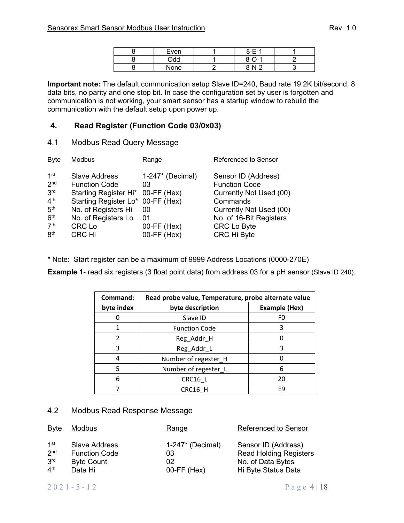|--|--|

| Even | $8 - E - 1$ |  |
|------|-------------|--|
| bbC  | $8 - 0 - 1$ |  |
| None | $8-N-2$     |  |

**Important note:** The default communication setup Slave ID=240, Baud rate 19.2K bit/second, 8 data bits, no parity and one stop bit. In case the configuration set by user is forgotten and communication is not working, your smart sensor has a startup window to rebuild the communication with the default setup upon power up.

## **4. Read Register (Function Code 03/0x03)**

4.1 Modbus Read Query Message

| <b>Byte</b>                                                                                                                              | Modbus                                                                                                                                                                                          | Range                                                                     | Referenced to Sensor                                                                                                                                                          |
|------------------------------------------------------------------------------------------------------------------------------------------|-------------------------------------------------------------------------------------------------------------------------------------------------------------------------------------------------|---------------------------------------------------------------------------|-------------------------------------------------------------------------------------------------------------------------------------------------------------------------------|
| 1st<br>2 <sub>nd</sub><br>3 <sup>rd</sup><br>4 <sup>th</sup><br>5 <sup>th</sup><br>6 <sup>th</sup><br>7 <sup>th</sup><br>8 <sup>th</sup> | <b>Slave Address</b><br><b>Function Code</b><br>Starting Register Hi* 00-FF (Hex)<br>Starting Register Lo* 00-FF (Hex)<br>No. of Registers Hi<br>No. of Registers Lo<br><b>CRC Lo</b><br>CRC Hi | $1-247*$ (Decimal)<br>03<br>00<br>01<br>$00$ -FF $(Hex)$<br>$00-FF$ (Hex) | Sensor ID (Address)<br><b>Function Code</b><br>Currently Not Used (00)<br>Commands<br>Currently Not Used (00)<br>No. of 16-Bit Registers<br><b>CRC Lo Byte</b><br>CRC Hi Byte |
|                                                                                                                                          |                                                                                                                                                                                                 |                                                                           |                                                                                                                                                                               |

\* Note: Start register can be a maximum of 9999 Address Locations (0000-270E)

**Example 1-** read six registers (3 float point data) from address 03 for a pH sensor (Slave ID 240).

| Command:      | Read probe value, Temperature, probe alternate value |                      |  |
|---------------|------------------------------------------------------|----------------------|--|
| byte index    | byte description                                     | <b>Example (Hex)</b> |  |
|               | Slave ID                                             | F0                   |  |
|               | <b>Function Code</b>                                 |                      |  |
| $\mathfrak z$ | Reg_Addr_H                                           |                      |  |
| 3             | Reg_Addr_L                                           | ς                    |  |
| 4             | Number of regester_H                                 |                      |  |
| 5             | Number of regester_L                                 | 6                    |  |
| 6             | CRC16 L                                              | 20                   |  |
|               | CRC16 H                                              | F9                   |  |

#### 4.2 Modbus Read Response Message

| <b>Byte</b>                    | <b>Modbus</b>        | Range              | Referenced to Sensor          |
|--------------------------------|----------------------|--------------------|-------------------------------|
| 1st                            | Slave Address        | $1-247*$ (Decimal) | Sensor ID (Address)           |
| 2 <sub>nd</sub>                | <b>Function Code</b> | 03                 | <b>Read Holding Registers</b> |
| 3 <sup>rd</sup>                | <b>Byte Count</b>    | 02                 | No. of Data Bytes             |
| $\mathbf{\Lambda}^{\text{th}}$ | Data Hi              | $00$ -FF $(Hex)$   | Hi Byte Status Data           |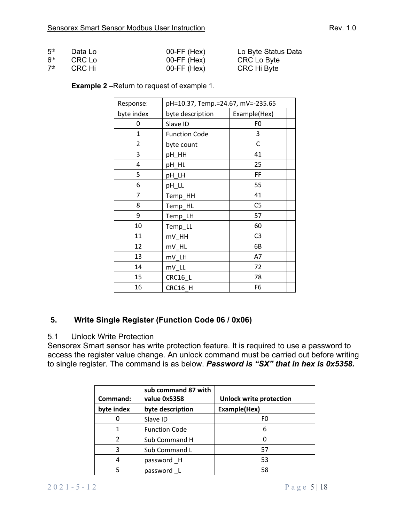| 5 <sup>th</sup> | Data Lo | $00$ -FF $(Hex)$ | Lo Byte Status Data |
|-----------------|---------|------------------|---------------------|
| 6 <sup>th</sup> | CRC Lo  | $00$ -FF $(Hex)$ | CRC Lo Byte         |
| 7 <sup>th</sup> | CRC Hi  | $00$ -FF $(Hex)$ | CRC Hi Byte         |

#### **Example 2 –**Return to request of example 1.

| Response:  | pH=10.37, Temp.=24.67, mV=-235.65 |                |
|------------|-----------------------------------|----------------|
| byte index | byte description                  | Example(Hex)   |
| 0          | Slave ID                          | F0             |
| 1          | <b>Function Code</b>              | 3              |
| 2          | byte count                        | C              |
| 3          | pH HH                             | 41             |
| 4          | pH_HL                             | 25             |
| 5          | pH_LH                             | FF             |
| 6          | pH LL                             | 55             |
| 7          | Temp_HH                           | 41             |
| 8          | Temp_HL                           | C <sub>5</sub> |
| 9          | Temp_LH                           | 57             |
| 10         | Temp_LL                           | 60             |
| 11         | mV_HH                             | C <sub>3</sub> |
| 12         | mV_HL                             | 6B             |
| 13         | mV LH                             | A7             |
| 14         | mV_LL                             | 72             |
| 15         | CRC16_L                           | 78             |
| 16         | CRC16 H                           | F6             |

## **5. Write Single Register (Function Code 06 / 0x06)**

## 5.1 Unlock Write Protection

Sensorex Smart sensor has write protection feature. It is required to use a password to access the register value change. An unlock command must be carried out before writing to single register. The command is as below. *Password is "SX" that in hex is 0x5358.*

| Command:   | sub command 87 with<br>value 0x5358 | <b>Unlock write protection</b> |
|------------|-------------------------------------|--------------------------------|
| byte index | byte description                    | Example(Hex)                   |
|            | Slave ID                            | F0                             |
|            | <b>Function Code</b>                | 6                              |
|            | Sub Command H                       |                                |
| 3          | Sub Command L                       | 57                             |
|            | password H                          | 53                             |
|            | password_L                          | 58                             |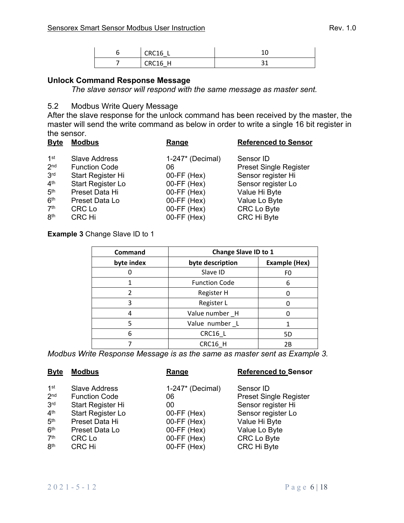| CPC16<br>$\sim$          | ∸∽ |
|--------------------------|----|
| $CPC16$ H<br>$rac{1}{2}$ | ٮ  |

## **Unlock Command Response Message**

*The slave sensor will respond with the same message as master sent.* 

## 5.2 Modbus Write Query Message

After the slave response for the unlock command has been received by the master, the master will send the write command as below in order to write a single 16 bit register in the sensor.

| <b>Byte</b>     | <b>Modbus</b>        | Range               | <b>Referenced to Sensor</b>   |
|-----------------|----------------------|---------------------|-------------------------------|
| 1 <sup>st</sup> | <b>Slave Address</b> | $1-247$ * (Decimal) | Sensor ID                     |
| 2 <sub>nd</sub> | <b>Function Code</b> | 06                  | <b>Preset Single Register</b> |
| 3 <sup>rd</sup> | Start Register Hi    | $00$ -FF $(Hex)$    | Sensor register Hi            |
| 4 <sup>th</sup> | Start Register Lo    | $00$ -FF $(Hex)$    | Sensor register Lo            |
| 5 <sup>th</sup> | Preset Data Hi       | $00-FF$ (Hex)       | Value Hi Byte                 |
| 6 <sup>th</sup> | Preset Data Lo       | $00-FF$ (Hex)       | Value Lo Byte                 |
| 7 <sup>th</sup> | CRC Lo               | $00$ -FF $(Hex)$    | CRC Lo Byte                   |
| 8 <sup>th</sup> | CRC Hi               | $00-FF$ (Hex)       | CRC Hi Byte                   |

**Example 3** Change Slave ID to 1

| <b>Command</b> | Change Slave ID to 1 |                      |
|----------------|----------------------|----------------------|
| byte index     | byte description     | <b>Example (Hex)</b> |
|                | Slave ID             | F0                   |
|                | <b>Function Code</b> | 6                    |
| $\mathfrak{p}$ | Register H           |                      |
| 3              | Register L           |                      |
|                | Value number H       |                      |
| 5              | Value number L       |                      |
| 6              | CRC16 L              | 5D                   |
|                | CRC16 H              | 2B                   |

*Modbus Write Response Message is as the same as master sent as Example 3.*

| <b>Byte</b>     | <b>Modbus</b>            | Range               | <b>Referenced to Sensor</b>   |
|-----------------|--------------------------|---------------------|-------------------------------|
| $1$ st          | <b>Slave Address</b>     | $1-247$ * (Decimal) | Sensor ID                     |
| 2 <sub>nd</sub> | <b>Function Code</b>     | 06                  | <b>Preset Single Register</b> |
| 3 <sup>rd</sup> | Start Register Hi        | 00                  | Sensor register Hi            |
| 4 <sup>th</sup> | <b>Start Register Lo</b> | $00$ -FF $(Hex)$    | Sensor register Lo            |
| 5 <sup>th</sup> | Preset Data Hi           | $00$ -FF $(Hex)$    | Value Hi Byte                 |
| 6 <sup>th</sup> | Preset Data Lo           | $00-FF$ (Hex)       | Value Lo Byte                 |
| 7 <sup>th</sup> | <b>CRC Lo</b>            | $00-FF$ (Hex)       | CRC Lo Byte                   |
| 8 <sup>th</sup> | CRC Hi                   | $00-FF$ (Hex)       | <b>CRC Hi Byte</b>            |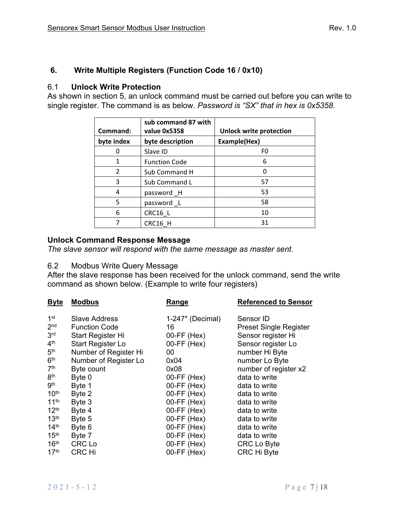# **6. Write Multiple Registers (Function Code 16 / 0x10)**

## 6.1 **Unlock Write Protection**

As shown in section 5, an unlock command must be carried out before you can write to single register. The command is as below. *Password is "SX" that in hex is 0x5358*.

| Command:       | sub command 87 with<br>value 0x5358 | <b>Unlock write protection</b> |
|----------------|-------------------------------------|--------------------------------|
| byte index     | byte description                    | Example(Hex)                   |
|                | Slave ID                            | F0                             |
| 1              | <b>Function Code</b>                | 6                              |
| $\mathfrak{p}$ | Sub Command H                       |                                |
| 3              | Sub Command L                       | 57                             |
| 4              | password_H                          | 53                             |
| 5              | password_L                          | 58                             |
| 6              | CRC16_L                             | 10                             |
|                | CRC16 H                             | 31                             |

# **Unlock Command Response Message**

*The slave sensor will respond with the same message as master sent*.

## 6.2 Modbus Write Query Message

After the slave response has been received for the unlock command, send the write command as shown below. (Example to write four registers)

| <b>Byte</b>      | <b>Modbus</b>         | <b>Range</b>       | <b>Referenced to Sensor</b>   |
|------------------|-----------------------|--------------------|-------------------------------|
| 1 <sup>st</sup>  | Slave Address         | $1-247*$ (Decimal) | Sensor ID                     |
| 2 <sub>nd</sub>  | <b>Function Code</b>  | 16                 | <b>Preset Single Register</b> |
| 3 <sup>rd</sup>  | Start Register Hi     | $00-FF$ (Hex)      | Sensor register Hi            |
| 4 <sup>th</sup>  | Start Register Lo     | $00-FF$ (Hex)      | Sensor register Lo            |
| 5 <sup>th</sup>  | Number of Register Hi | 00                 | number Hi Byte                |
| 6 <sup>th</sup>  | Number of Register Lo | 0x04               | number Lo Byte                |
| 7 <sup>th</sup>  | Byte count            | 0x08               | number of register x2         |
| 8 <sup>th</sup>  | Byte 0                | $00$ -FF $(Hex)$   | data to write                 |
| <b>gth</b>       | Byte 1                | $00-FF$ (Hex)      | data to write                 |
| 10 <sup>th</sup> | Byte 2                | $00-FF$ (Hex)      | data to write                 |
| 11 <sup>th</sup> | Byte 3                | $00-FF$ (Hex)      | data to write                 |
| 12 <sup>th</sup> | Byte 4                | 00-FF (Hex)        | data to write                 |
| 13 <sup>th</sup> | Byte 5                | $00-FF$ (Hex)      | data to write                 |
| 14 <sup>th</sup> | Byte 6                | $00-FF$ (Hex)      | data to write                 |
| 15 <sup>th</sup> | Byte 7                | $00-FF$ (Hex)      | data to write                 |
| 16 <sup>th</sup> | <b>CRC Lo</b>         | $00-FF$ (Hex)      | CRC Lo Byte                   |
| 17 <sup>th</sup> | <b>CRC Hi</b>         | $00-FF$ (Hex)      | <b>CRC Hi Byte</b>            |
|                  |                       |                    |                               |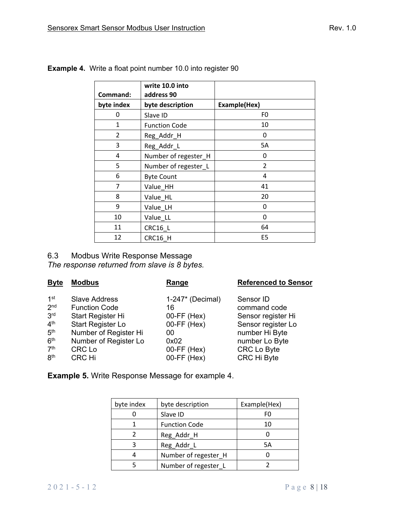| Command:       | write 10.0 into<br>address 90 |                |
|----------------|-------------------------------|----------------|
| byte index     | byte description              | Example(Hex)   |
| 0              | Slave ID                      | F <sub>0</sub> |
| 1              | <b>Function Code</b>          | 10             |
| $\overline{2}$ | Reg_Addr_H                    | 0              |
| 3              | Reg_Addr_L                    | 5A             |
| 4              | Number of regester_H          | 0              |
| 5              | Number of regester_L          | 2              |
| 6              | <b>Byte Count</b>             | 4              |
| 7              | Value HH                      | 41             |
| 8              | Value_HL                      | 20             |
| 9              | Value LH                      | 0              |
| 10             | Value LL                      | 0              |
| 11             | CRC16_L                       | 64             |
| 12             | CRC16 H                       | E <sub>5</sub> |

**Example 4.** Write a float point number 10.0 into register 90

# 6.3 Modbus Write Response Message

*The response returned from slave is 8 bytes.* 

| <b>Byte</b>     | <b>Modbus</b>         | Range              | <b>Referenced to Sensor</b> |
|-----------------|-----------------------|--------------------|-----------------------------|
| 1 <sup>st</sup> | <b>Slave Address</b>  | $1-247*$ (Decimal) | Sensor ID                   |
| 2 <sub>nd</sub> | <b>Function Code</b>  | 16                 | command code                |
| 3 <sup>rd</sup> | Start Register Hi     | $00$ -FF $(Hex)$   | Sensor register Hi          |
| 4 <sup>th</sup> | Start Register Lo     | $00$ -FF $(Hex)$   | Sensor register Lo          |
| 5 <sup>th</sup> | Number of Register Hi | 00                 | number Hi Byte              |
| 6 <sup>th</sup> | Number of Register Lo | 0x02               | number Lo Byte              |
| 7 <sup>th</sup> | <b>CRC Lo</b>         | $00$ -FF $(Hex)$   | <b>CRC Lo Byte</b>          |
| 8 <sup>th</sup> | <b>CRC Hi</b>         | $00-FF$ (Hex)      | CRC Hi Byte                 |
|                 |                       |                    |                             |

**Example 5.** Write Response Message for example 4.

| byte index | byte description     | Example(Hex) |
|------------|----------------------|--------------|
|            | Slave ID             | FO           |
|            | <b>Function Code</b> | 10           |
|            | Reg_Addr_H           |              |
|            | Reg_Addr_L           | 5A           |
|            | Number of regester H |              |
|            | Number of regester_L |              |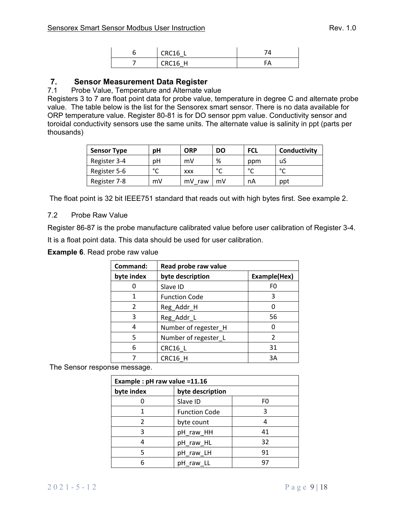| CRC16   |  |
|---------|--|
| CRC16 H |  |

## **7. Sensor Measurement Data Register**

#### 7.1 Probe Value, Temperature and Alternate value

Registers 3 to 7 are float point data for probe value, temperature in degree C and alternate probe value. The table below is the list for the Sensorex smart sensor. There is no data available for ORP temperature value. Register 80-81 is for DO sensor ppm value. Conductivity sensor and toroidal conductivity sensors use the same units. The alternate value is salinity in ppt (parts per thousands)

| <b>Sensor Type</b> | pН     | <b>ORP</b> | DO     | <b>FCL</b> | Conductivity |
|--------------------|--------|------------|--------|------------|--------------|
| Register 3-4       | рH     | mV         | %      | ppm        | uS           |
| Register 5-6       | $\sim$ | <b>XXX</b> | $\sim$ | $\sim$     | $\sim$       |
| Register 7-8       | mV     | mV<br>raw  | mV     | nA         | ppt          |

The float point is 32 bit IEEE751 standard that reads out with high bytes first. See example 2.

#### 7.2 Probe Raw Value

Register 86-87 is the probe manufacture calibrated value before user calibration of Register 3-4. It is a float point data. This data should be used for user calibration.

**Example 6**. Read probe raw value

| Command:      | Read probe raw value |              |  |
|---------------|----------------------|--------------|--|
| byte index    | byte description     | Example(Hex) |  |
|               | Slave ID             | F0           |  |
|               | <b>Function Code</b> | 3            |  |
| $\mathcal{P}$ | Reg_Addr_H           |              |  |
| 3             | Reg_Addr_L           | 56           |  |
|               | Number of regester_H |              |  |
| 5             | Number of regester L | 2            |  |
| 6             | CRC16 L              | 31           |  |
|               | CRC16 H              | 3A           |  |

The Sensor response message.

| Example : pH raw value =11.16 |                      |    |  |  |
|-------------------------------|----------------------|----|--|--|
| byte index                    | byte description     |    |  |  |
|                               | Slave ID             | F0 |  |  |
| 1                             | <b>Function Code</b> |    |  |  |
| 2                             | byte count           |    |  |  |
| 3                             | pH_raw_HH            | 41 |  |  |
| 4                             | pH_raw_HL            | 32 |  |  |
| 5                             | pH_raw_LH            | 91 |  |  |
| հ                             | pH_raw_LL            |    |  |  |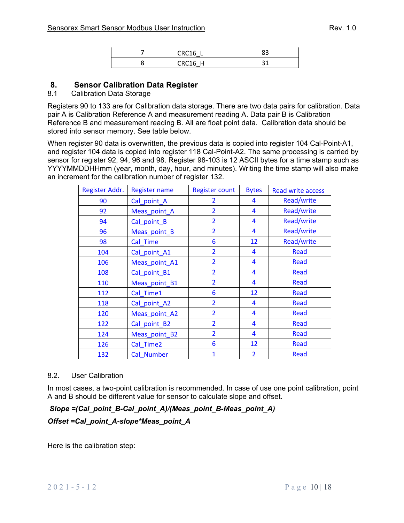| $C_R C16$  | רי<br>ں |
|------------|---------|
| C R C 16 H |         |

## **8. Sensor Calibration Data Register**

#### 8.1 Calibration Data Storage

Registers 90 to 133 are for Calibration data storage. There are two data pairs for calibration. Data pair A is Calibration Reference A and measurement reading A. Data pair B is Calibration Reference B and measurement reading B. All are float point data. Calibration data should be stored into sensor memory. See table below.

When register 90 data is overwritten, the previous data is copied into register 104 Cal-Point-A1, and register 104 data is copied into register 118 Cal-Point-A2. The same processing is carried by sensor for register 92, 94, 96 and 98. Register 98-103 is 12 ASCII bytes for a time stamp such as YYYYMMDDHHmm (year, month, day, hour, and minutes). Writing the time stamp will also make an increment for the calibration number of register 132.

| Register Addr. | <b>Register name</b> | <b>Register count</b> | <b>Bytes</b>   | <b>Read write access</b> |
|----------------|----------------------|-----------------------|----------------|--------------------------|
| 90             | Cal_point_A          | $\overline{2}$        | 4              | Read/write               |
| 92             | Meas_point_A         | $\overline{2}$        | 4              | Read/write               |
| 94             | Cal point B          | $\overline{2}$        | 4              | Read/write               |
| 96             | Meas_point_B         | $\overline{2}$        | 4              | Read/write               |
| 98             | Cal Time             | 6                     | 12             | Read/write               |
| 104            | Cal_point_A1         | $\overline{2}$        | 4              | <b>Read</b>              |
| 106            | Meas_point_A1        | $\overline{2}$        | 4              | <b>Read</b>              |
| 108            | Cal_point_B1         | $\overline{2}$        | 4              | <b>Read</b>              |
| 110            | Meas_point_B1        | $\overline{2}$        | 4              | Read                     |
| 112            | Cal Time1            | 6                     | 12             | <b>Read</b>              |
| 118            | Cal_point_A2         | $\overline{2}$        | 4              | <b>Read</b>              |
| 120            | Meas_point_A2        | $\overline{2}$        | 4              | Read                     |
| 122            | Cal_point_B2         | $\overline{2}$        | 4              | <b>Read</b>              |
| 124            | Meas_point_B2        | $\overline{2}$        | 4              | <b>Read</b>              |
| 126            | Cal Time2            | 6                     | 12             | Read                     |
| 132            | Cal Number           | $\mathbf{1}$          | $\overline{2}$ | <b>Read</b>              |

#### 8.2. User Calibration

In most cases, a two-point calibration is recommended. In case of use one point calibration, point A and B should be different value for sensor to calculate slope and offset.

 *Slope =(Cal\_point\_B-Cal\_point\_A)/(Meas\_point\_B-Meas\_point\_A) Offset =Cal\_point\_A-slope\*Meas\_point\_A* 

Here is the calibration step: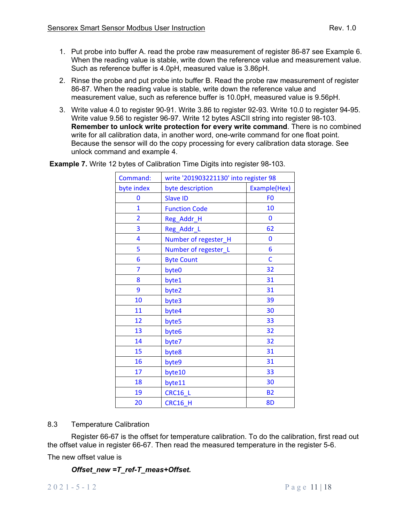- 1. Put probe into buffer A. read the probe raw measurement of register 86-87 see Example 6. When the reading value is stable, write down the reference value and measurement value. Such as reference buffer is 4.0pH, measured value is 3.86pH.
- 2. Rinse the probe and put probe into buffer B. Read the probe raw measurement of register 86-87. When the reading value is stable, write down the reference value and measurement value, such as reference buffer is 10.0pH, measured value is 9.56pH.
- 3. Write value 4.0 to register 90-91. Write 3.86 to register 92-93. Write 10.0 to register 94-95. Write value 9.56 to register 96-97. Write 12 bytes ASCII string into register 98-103. **Remember to unlock write protection for every write command**. There is no combined write for all calibration data, in another word, one-write command for one float point. Because the sensor will do the copy processing for every calibration data storage. See unlock command and example 4.

| Command:       | write '201903221130' into register 98 |                |  |
|----------------|---------------------------------------|----------------|--|
| byte index     | byte description                      | Example(Hex)   |  |
| 0              | <b>Slave ID</b>                       | F <sub>0</sub> |  |
| $\overline{1}$ | <b>Function Code</b>                  | 10             |  |
| $\overline{2}$ | Reg_Addr_H                            | 0              |  |
| 3              | Reg_Addr_L                            | 62             |  |
| 4              | Number of regester_H                  | $\overline{0}$ |  |
| 5              | Number of regester_L                  | 6              |  |
| 6              | <b>Byte Count</b>                     | C              |  |
| $\overline{7}$ | byte0                                 | 32             |  |
| 8              | byte1                                 | 31             |  |
| 9              | byte2                                 | 31             |  |
| 10             | byte3                                 | 39             |  |
| 11             | byte4                                 | 30             |  |
| 12             | byte5                                 | 33             |  |
| 13             | byte6                                 | 32             |  |
| 14             | byte7                                 | 32             |  |
| 15             | byte8                                 | 31             |  |
| 16             | byte9                                 | 31             |  |
| 17             | byte10                                | 33             |  |
| 18             | byte11                                | 30             |  |
| 19             | <b>CRC16_L</b>                        | <b>B2</b>      |  |
| 20             | <b>CRC16_H</b>                        | 8D             |  |

**Example 7.** Write 12 bytes of Calibration Time Digits into register 98-103.

#### 8.3 Temperature Calibration

Register 66-67 is the offset for temperature calibration. To do the calibration, first read out the offset value in register 66-67. Then read the measured temperature in the register 5-6.

The new offset value is

#### *Offset\_new =T\_ref-T\_meas+Offset.*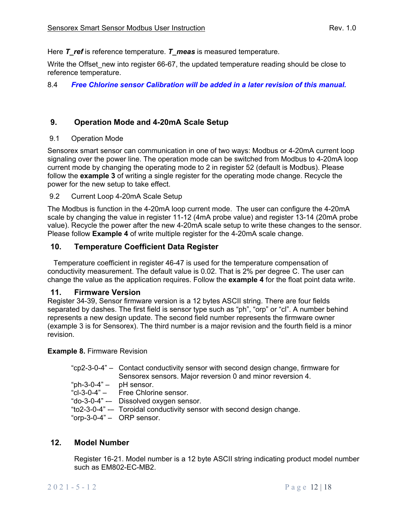Here *T* ref is reference temperature. *T* meas is measured temperature.

Write the Offset new into register 66-67, the updated temperature reading should be close to reference temperature.

#### 8.4 *Free Chlorine sensor Calibration will be added in a later revision of this manual.*

## **9. Operation Mode and 4-20mA Scale Setup**

#### 9.1 Operation Mode

Sensorex smart sensor can communication in one of two ways: Modbus or 4-20mA current loop signaling over the power line. The operation mode can be switched from Modbus to 4-20mA loop current mode by changing the operating mode to 2 in register 52 (default is Modbus). Please follow the **example 3** of writing a single register for the operating mode change. Recycle the power for the new setup to take effect.

#### 9.2 Current Loop 4-20mA Scale Setup

The Modbus is function in the 4-20mA loop current mode. The user can configure the 4-20mA scale by changing the value in register 11-12 (4mA probe value) and register 13-14 (20mA probe value). Recycle the power after the new 4-20mA scale setup to write these changes to the sensor. Please follow **Example 4** of write multiple register for the 4-20mA scale change.

### **10. Temperature Coefficient Data Register**

 Temperature coefficient in register 46-47 is used for the temperature compensation of conductivity measurement. The default value is 0.02. That is 2% per degree C. The user can change the value as the application requires. Follow the **example 4** for the float point data write.

#### **11. Firmware Version**

Register 34-39, Sensor firmware version is a 12 bytes ASCII string. There are four fields separated by dashes. The first field is sensor type such as "ph", "orp" or "cl". A number behind represents a new design update. The second field number represents the firmware owner (example 3 is for Sensorex). The third number is a major revision and the fourth field is a minor revision.

#### **Example 8.** Firmware Revision

|                             | "cp2-3-0-4" – Contact conductivity sensor with second design change, firmware for<br>Sensorex sensors. Major reversion 0 and minor reversion 4. |
|-----------------------------|-------------------------------------------------------------------------------------------------------------------------------------------------|
|                             |                                                                                                                                                 |
| " $ph-3-0-4"$ – pH sensor.  |                                                                                                                                                 |
|                             | "cl-3-0-4" - Free Chlorine sensor.                                                                                                              |
|                             | "do-3-0-4" -- Dissolved oxygen sensor.                                                                                                          |
|                             | "to2-3-0-4" -- Toroidal conductivity sensor with second design change.                                                                          |
| "orp-3-0-4" $-$ ORP sensor. |                                                                                                                                                 |

#### **12. Model Number**

Register 16-21. Model number is a 12 byte ASCII string indicating product model number such as EM802-EC-MB2.

#### 2021-5-12 Page 12 | 18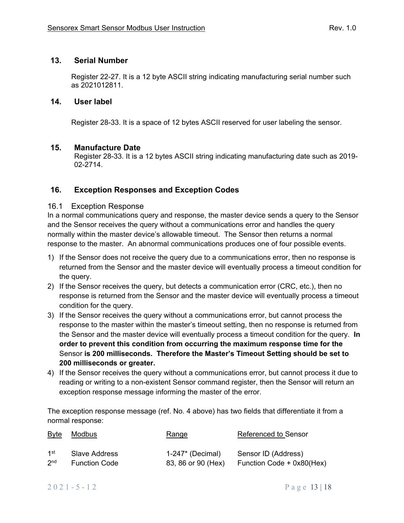## **13. Serial Number**

Register 22-27. It is a 12 byte ASCII string indicating manufacturing serial number such as 2021012811.

### **14. User label**

Register 28-33. It is a space of 12 bytes ASCII reserved for user labeling the sensor.

### **15. Manufacture Date**

Register 28-33. It is a 12 bytes ASCII string indicating manufacturing date such as 2019- 02-2714.

## **16. Exception Responses and Exception Codes**

## 16.1 Exception Response

In a normal communications query and response, the master device sends a query to the Sensor and the Sensor receives the query without a communications error and handles the query normally within the master device's allowable timeout. The Sensor then returns a normal response to the master. An abnormal communications produces one of four possible events.

- 1) If the Sensor does not receive the query due to a communications error, then no response is returned from the Sensor and the master device will eventually process a timeout condition for the query.
- 2) If the Sensor receives the query, but detects a communication error (CRC, etc.), then no response is returned from the Sensor and the master device will eventually process a timeout condition for the query.
- 3) If the Sensor receives the query without a communications error, but cannot process the response to the master within the master's timeout setting, then no response is returned from the Sensor and the master device will eventually process a timeout condition for the query. **In order to prevent this condition from occurring the maximum response time for the** Sensor **is 200 milliseconds. Therefore the Master's Timeout Setting should be set to 200 milliseconds or greater.**
- 4) If the Sensor receives the query without a communications error, but cannot process it due to reading or writing to a non-existent Sensor command register, then the Sensor will return an exception response message informing the master of the error.

The exception response message (ref. No. 4 above) has two fields that differentiate it from a normal response:

| <u>Byte</u>     | Modbus               | Range              | <b>Referenced to Sensor</b> |
|-----------------|----------------------|--------------------|-----------------------------|
| 1st             | Slave Address        | $1-247*$ (Decimal) | Sensor ID (Address)         |
| 2 <sub>nd</sub> | <b>Function Code</b> | 83, 86 or 90 (Hex) | Function Code + 0x80(Hex)   |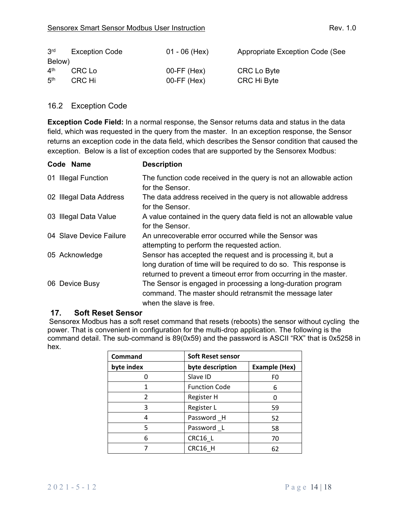| 3 <sup>rd</sup> | <b>Exception Code</b> | $01 - 06$ (Hex)  | Appropriate Exception Code (See |
|-----------------|-----------------------|------------------|---------------------------------|
| Below)          |                       |                  |                                 |
| $4^{\text{th}}$ | CRC Lo                | $00$ -FF $(Hex)$ | CRC Lo Byte                     |
| 5 <sup>th</sup> | CRC Hi                | $00-FF$ (Hex)    | CRC Hi Byte                     |

## 16.2 Exception Code

**Exception Code Field:** In a normal response, the Sensor returns data and status in the data field, which was requested in the query from the master. In an exception response, the Sensor returns an exception code in the data field, which describes the Sensor condition that caused the exception. Below is a list of exception codes that are supported by the Sensorex Modbus:

| Code Name               | <b>Description</b>                                                                                                                                                                                    |
|-------------------------|-------------------------------------------------------------------------------------------------------------------------------------------------------------------------------------------------------|
| 01 Illegal Function     | The function code received in the query is not an allowable action<br>for the Sensor.                                                                                                                 |
| 02 Illegal Data Address | The data address received in the query is not allowable address<br>for the Sensor.                                                                                                                    |
| 03 Illegal Data Value   | A value contained in the query data field is not an allowable value<br>for the Sensor.                                                                                                                |
| 04 Slave Device Failure | An unrecoverable error occurred while the Sensor was<br>attempting to perform the requested action.                                                                                                   |
| 05 Acknowledge          | Sensor has accepted the request and is processing it, but a<br>long duration of time will be required to do so. This response is<br>returned to prevent a timeout error from occurring in the master. |
| 06 Device Busy          | The Sensor is engaged in processing a long-duration program<br>command. The master should retransmit the message later<br>when the slave is free.                                                     |

## **17. Soft Reset Sensor**

Sensorex Modbus has a soft reset command that resets (reboots) the sensor without cycling the power. That is convenient in configuration for the multi-drop application. The following is the command detail. The sub-command is 89(0x59) and the password is ASCII "RX" that is 0x5258 in hex.

| Command        | <b>Soft Reset sensor</b> |                      |  |
|----------------|--------------------------|----------------------|--|
| byte index     | byte description         | <b>Example (Hex)</b> |  |
|                | Slave ID                 | F0                   |  |
|                | <b>Function Code</b>     | 6                    |  |
| $\mathfrak{p}$ | Register H               |                      |  |
| 3              | Register L               | 59                   |  |
| 4              | Password H               | 52                   |  |
| 5              | Password L               | 58                   |  |
| 6              | CRC16 L                  | 70                   |  |
|                | CRC16 H                  | 62                   |  |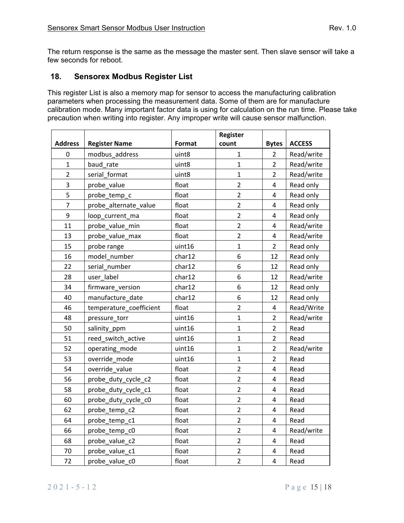The return response is the same as the message the master sent. Then slave sensor will take a few seconds for reboot.

## **18. Sensorex Modbus Register List**

This register List is also a memory map for sensor to access the manufacturing calibration parameters when processing the measurement data. Some of them are for manufacture calibration mode. Many important factor data is using for calculation on the run time. Please take precaution when writing into register. Any improper write will cause sensor malfunction.

|                |                         |        | Register       |                         |               |
|----------------|-------------------------|--------|----------------|-------------------------|---------------|
| <b>Address</b> | <b>Register Name</b>    | Format | count          | <b>Bytes</b>            | <b>ACCESS</b> |
| 0              | modbus address          | uint8  | $\mathbf{1}$   | $\overline{2}$          | Read/write    |
| $\mathbf{1}$   | baud rate               | uint8  | $\mathbf{1}$   | $\overline{2}$          | Read/write    |
| $\overline{2}$ | serial format           | uint8  | $\mathbf{1}$   | $\overline{c}$          | Read/write    |
| 3              | probe value             | float  | $\overline{2}$ | $\pmb{4}$               | Read only     |
| 5              | probe_temp_c            | float  | $\overline{2}$ | $\overline{\mathbf{4}}$ | Read only     |
| $\overline{7}$ | probe_alternate_value   | float  | $\overline{2}$ | 4                       | Read only     |
| 9              | loop_current_ma         | float  | $\overline{2}$ | 4                       | Read only     |
| 11             | probe value min         | float  | $\overline{2}$ | 4                       | Read/write    |
| 13             | probe_value_max         | float  | $\overline{2}$ | $\overline{4}$          | Read/write    |
| 15             | probe range             | uint16 | $\mathbf{1}$   | $\overline{2}$          | Read only     |
| 16             | model number            | char12 | 6              | 12                      | Read only     |
| 22             | serial number           | char12 | 6              | 12                      | Read only     |
| 28             | user label              | char12 | 6              | 12                      | Read/write    |
| 34             | firmware version        | char12 | 6              | 12                      | Read only     |
| 40             | manufacture date        | char12 | 6              | 12                      | Read only     |
| 46             | temperature_coefficient | float  | $\overline{2}$ | $\pmb{4}$               | Read/Write    |
| 48             | pressure_torr           | uint16 | $\mathbf{1}$   | $\overline{2}$          | Read/write    |
| 50             | salinity_ppm            | uint16 | $\overline{1}$ | $\overline{c}$          | Read          |
| 51             | reed_switch_active      | uint16 | $\mathbf{1}$   | $\overline{2}$          | Read          |
| 52             | operating_mode          | uint16 | $\mathbf{1}$   | $\overline{2}$          | Read/write    |
| 53             | override mode           | uint16 | $\mathbf{1}$   | $\overline{2}$          | Read          |
| 54             | override_value          | float  | $\overline{2}$ | 4                       | Read          |
| 56             | probe_duty_cycle_c2     | float  | $\overline{2}$ | $\pmb{4}$               | Read          |
| 58             | probe_duty_cycle_c1     | float  | $\overline{2}$ | $\overline{\mathbf{4}}$ | Read          |
| 60             | probe_duty_cycle_c0     | float  | $\overline{2}$ | $\overline{4}$          | Read          |
| 62             | probe_temp_c2           | float  | $\overline{2}$ | $\overline{\mathbf{4}}$ | Read          |
| 64             | probe_temp_c1           | float  | $\overline{2}$ | $\overline{\mathbf{4}}$ | Read          |
| 66             | probe_temp_c0           | float  | $\overline{2}$ | 4                       | Read/write    |
| 68             | probe_value_c2          | float  | $\overline{2}$ | $\overline{\mathbf{4}}$ | Read          |
| 70             | probe_value_c1          | float  | $\overline{c}$ | $\pmb{4}$               | Read          |
| 72             | probe_value_c0          | float  | $\overline{2}$ | $\overline{\mathbf{4}}$ | Read          |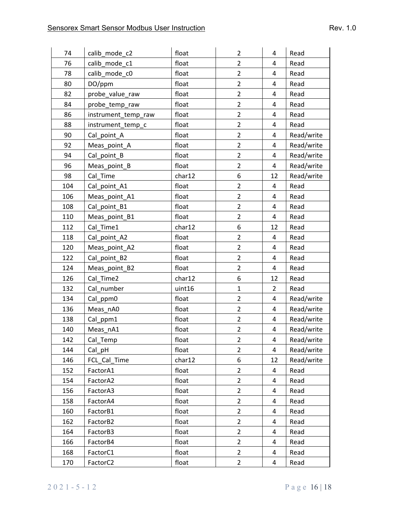| 74  | calib_mode_c2                    | float  | $\overline{2}$ | 4                       | Read       |
|-----|----------------------------------|--------|----------------|-------------------------|------------|
| 76  | calib_mode_c1                    | float  | $\overline{2}$ | $\overline{\mathbf{4}}$ | Read       |
| 78  | calib_mode_c0                    | float  | $\overline{2}$ | $\overline{\mathbf{4}}$ | Read       |
| 80  | DO/ppm                           | float  | $\overline{2}$ | $\overline{\mathbf{4}}$ | Read       |
| 82  | probe_value_raw                  | float  | $\overline{2}$ | $\overline{\mathbf{4}}$ | Read       |
| 84  | probe_temp_raw                   | float  | $\overline{2}$ | 4                       | Read       |
| 86  | instrument_temp_raw              | float  | $\overline{2}$ | $\overline{4}$          | Read       |
| 88  | instrument_temp_c                | float  | $\overline{2}$ | 4                       | Read       |
| 90  | Cal_point_A                      | float  | $\overline{2}$ | $\overline{\mathbf{4}}$ | Read/write |
| 92  | Meas_point_A                     | float  | $\overline{2}$ | $\overline{\mathbf{4}}$ | Read/write |
| 94  | Cal_point_B                      | float  | $\overline{2}$ | $\overline{\mathbf{4}}$ | Read/write |
| 96  | Meas_point_B                     | float  | $\overline{2}$ | $\overline{a}$          | Read/write |
| 98  | Cal Time                         | char12 | 6              | 12                      | Read/write |
| 104 | Cal_point_A1                     | float  | $\overline{2}$ | $\overline{a}$          | Read       |
| 106 | Meas_point_A1                    | float  | $\overline{2}$ | $\overline{4}$          | Read       |
| 108 | Cal_point_B1                     | float  | $\overline{2}$ | $\overline{\mathbf{4}}$ | Read       |
| 110 | Meas_point_B1                    | float  | $\overline{2}$ | $\overline{\mathbf{4}}$ | Read       |
| 112 | Cal Time1                        | char12 | 6              | 12                      | Read       |
| 118 | Cal_point_A2                     | float  | $\overline{2}$ | $\overline{4}$          | Read       |
| 120 | Meas_point_A2                    | float  | $\overline{2}$ | $\overline{a}$          | Read       |
| 122 | Cal_point_B2                     | float  | $\overline{2}$ | $\overline{\mathbf{4}}$ | Read       |
| 124 | Meas_point_B2                    | float  | $\overline{2}$ | $\pmb{4}$               | Read       |
| 126 | Cal Time2                        | char12 | 6              | 12                      | Read       |
| 132 | Cal number                       | uint16 | $\mathbf{1}$   | $\overline{2}$          | Read       |
| 134 | Cal_ppm0                         | float  | $\overline{2}$ | 4                       | Read/write |
| 136 | Meas_nA0                         | float  | $\overline{2}$ | $\overline{a}$          | Read/write |
| 138 | Cal_ppm1                         | float  | $\overline{2}$ | $\pmb{4}$               | Read/write |
| 140 | Meas_nA1                         | float  | $\overline{2}$ | $\overline{\mathbf{4}}$ | Read/write |
| 142 | Cal_Temp                         | float  | $\overline{2}$ | $\overline{\mathbf{4}}$ | Read/write |
| 144 | $Cal$ <sub><math>pH</math></sub> | float  | $\overline{2}$ | 4                       | Read/write |
| 146 | FCL Cal Time                     | char12 | 6              | 12                      | Read/write |
| 152 | FactorA1                         | float  | $\overline{2}$ | 4                       | Read       |
| 154 | FactorA2                         | float  | $\overline{2}$ | $\overline{\mathbf{4}}$ | Read       |
| 156 | FactorA3                         | float  | $\overline{2}$ | 4                       | Read       |
| 158 | FactorA4                         | float  | $\overline{2}$ | $\pmb{4}$               | Read       |
| 160 | FactorB1                         | float  | $\overline{2}$ | $\overline{4}$          | Read       |
| 162 | FactorB2                         | float  | $\overline{2}$ | 4                       | Read       |
| 164 | FactorB3                         | float  | $\overline{2}$ | 4                       | Read       |
| 166 | FactorB4                         | float  | $\overline{2}$ | 4                       | Read       |
| 168 | FactorC1                         | float  | $\overline{2}$ | 4                       | Read       |
| 170 | FactorC2                         | float  | $\overline{2}$ | $\overline{\mathbf{4}}$ | Read       |